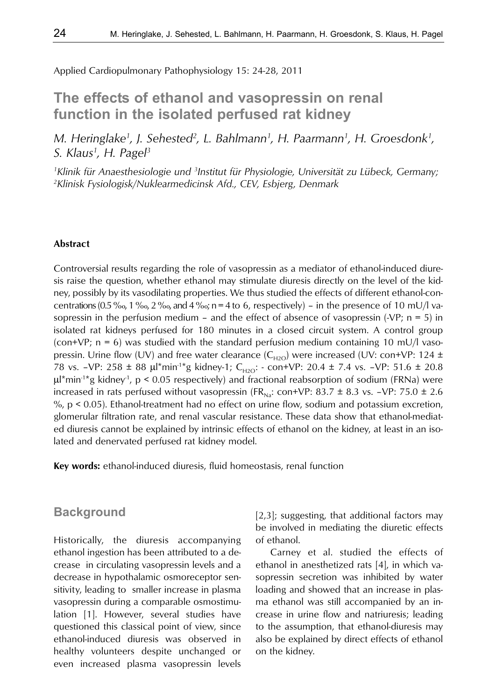Applied Cardiopulmonary Pathophysiology 15: 24-28, 2011

# **The effects of ethanol and vasopressin on renal function in the isolated perfused rat kidney**

*M. Heringlake1 , J. Sehested2 , L. Bahlmann1 , H. Paarmann1 , H. Groesdonk1 , S. Klaus1 , H. Pagel3*

<sup>1</sup> Klinik für Anaesthesiologie und <sup>3</sup> Institut für Physiologie, Universität zu Lübeck, Germany; *2 Klinisk Fysiologisk/Nuklearmedicinsk Afd., CEV, Esbjerg, Denmark*

#### **Abstract**

Controversial results regarding the role of vasopressin as a mediator of ethanol-induced diuresis raise the question, whether ethanol may stimulate diuresis directly on the level of the kidney, possibly by its vasodilating properties. We thus studied the effects of different ethanol-concentrations (0.5 ‰, 1 ‰, 2 ‰, and 4 ‰; n = 4 to 6, respectively) – in the presence of 10 mU/l vasopressin in the perfusion medium – and the effect of absence of vasopressin  $(-VP; n = 5)$  in isolated rat kidneys perfused for 180 minutes in a closed circuit system. A control group (con+VP;  $n = 6$ ) was studied with the standard perfusion medium containing 10 mU/l vasopressin. Urine flow (UV) and free water clearance  $(C_{H2O})$  were increased (UV: con+VP: 124 ± 78 vs. –VP: 258 ± 88  $\mu$ l<sup>\*</sup>min<sup>-1\*</sup>g kidney-1; C<sub>H2O</sub>: - con+VP: 20.4 ± 7.4 vs. –VP: 51.6 ± 20.8  $\mu$ <sup>\*</sup>min<sup>-1\*</sup>g kidney<sup>-1</sup>, p < 0.05 respectively) and fractional reabsorption of sodium (FRNa) were increased in rats perfused without vasopressin (FR<sub>Na</sub>: con+VP: 83.7  $\pm$  8.3 vs. -VP: 75.0  $\pm$  2.6 %, p < 0.05). Ethanol-treatment had no effect on urine flow, sodium and potassium excretion, glomerular filtration rate, and renal vascular resistance. These data show that ethanol-mediated diuresis cannot be explained by intrinsic effects of ethanol on the kidney, at least in an isolated and denervated perfused rat kidney model.

**Key words:** ethanol-induced diuresis, fluid homeostasis, renal function

## **Background**

Historically, the diuresis accompanying ethanol ingestion has been attributed to a decrease in circulating vasopressin levels and a decrease in hypothalamic osmoreceptor sensitivity, leading to smaller increase in plasma vasopressin during a comparable osmostimulation [1]. However, several studies have questioned this classical point of view, since ethanol-induced diuresis was observed in healthy volunteers despite unchanged or even increased plasma vasopressin levels

[2,3]; suggesting, that additional factors may be involved in mediating the diuretic effects of ethanol.

Carney et al. studied the effects of ethanol in anesthetized rats [4], in which vasopressin secretion was inhibited by water loading and showed that an increase in plasma ethanol was still accompanied by an increase in urine flow and natriuresis; leading to the assumption, that ethanol-diuresis may also be explained by direct effects of ethanol on the kidney.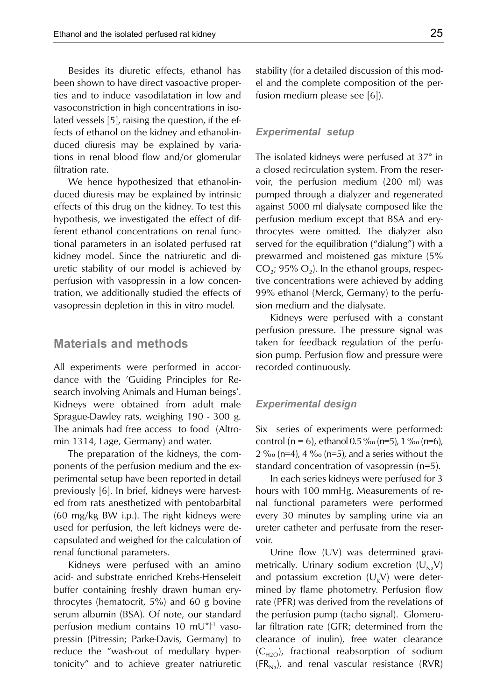Besides its diuretic effects, ethanol has been shown to have direct vasoactive properties and to induce vasodilatation in low and vasoconstriction in high concentrations in isolated vessels [5], raising the question, if the effects of ethanol on the kidney and ethanol-induced diuresis may be explained by variations in renal blood flow and/or glomerular filtration rate.

We hence hypothesized that ethanol-induced diuresis may be explained by intrinsic effects of this drug on the kidney. To test this hypothesis, we investigated the effect of different ethanol concentrations on renal functional parameters in an isolated perfused rat kidney model. Since the natriuretic and diuretic stability of our model is achieved by perfusion with vasopressin in a low concentration, we additionally studied the effects of vasopressin depletion in this in vitro model.

## **Materials and methods**

All experiments were performed in accordance with the 'Guiding Principles for Research involving Animals and Human beings'. Kidneys were obtained from adult male Sprague-Dawley rats, weighing 190 - 300 g. The animals had free access to food (Altromin 1314, Lage, Germany) and water.

The preparation of the kidneys, the components of the perfusion medium and the experimental setup have been reported in detail previously [6]. In brief, kidneys were harvested from rats anesthetized with pentobarbital (60 mg/kg BW i.p.). The right kidneys were used for perfusion, the left kidneys were decapsulated and weighed for the calculation of renal functional parameters.

Kidneys were perfused with an amino acid- and substrate enriched Krebs-Henseleit buffer containing freshly drawn human erythrocytes (hematocrit, 5%) and 60 g bovine serum albumin (BSA). Of note, our standard perfusion medium contains 10 mU $^{\star}$ l<sup>1</sup> vasopressin (Pitressin; Parke-Davis, Germany) to reduce the "wash-out of medullary hypertonicity" and to achieve greater natriuretic stability (for a detailed discussion of this model and the complete composition of the perfusion medium please see [6]).

#### *Experimental setup*

The isolated kidneys were perfused at 37° in a closed recirculation system. From the reservoir, the perfusion medium (200 ml) was pumped through a dialyzer and regenerated against 5000 ml dialysate composed like the perfusion medium except that BSA and erythrocytes were omitted. The dialyzer also served for the equilibration ("dialung") with a prewarmed and moistened gas mixture (5%  $CO<sub>2</sub>$ ; 95%  $O<sub>2</sub>$ ). In the ethanol groups, respective concentrations were achieved by adding 99% ethanol (Merck, Germany) to the perfusion medium and the dialysate.

Kidneys were perfused with a constant perfusion pressure. The pressure signal was taken for feedback regulation of the perfusion pump. Perfusion flow and pressure were recorded continuously.

#### *Experimental design*

Six series of experiments were performed: control (n = 6), ethanol  $0.5\%$  (n=5),  $1\%$  (n=6),  $2\%$  (n=4), 4  $\%$  (n=5), and a series without the standard concentration of vasopressin (n=5).

In each series kidneys were perfused for 3 hours with 100 mmHg. Measurements of renal functional parameters were performed every 30 minutes by sampling urine via an ureter catheter and perfusate from the reservoir.

Urine flow (UV) was determined gravimetrically. Urinary sodium excretion  $(U_{Na}V)$ and potassium excretion  $(U_K V)$  were determined by flame photometry. Perfusion flow rate (PFR) was derived from the revelations of the perfusion pump (tacho signal). Glomerular filtration rate (GFR; determined from the clearance of inulin), free water clearance  $(C_{H2O})$ , fractional reabsorption of sodium  $(FR_{N_a})$ , and renal vascular resistance (RVR)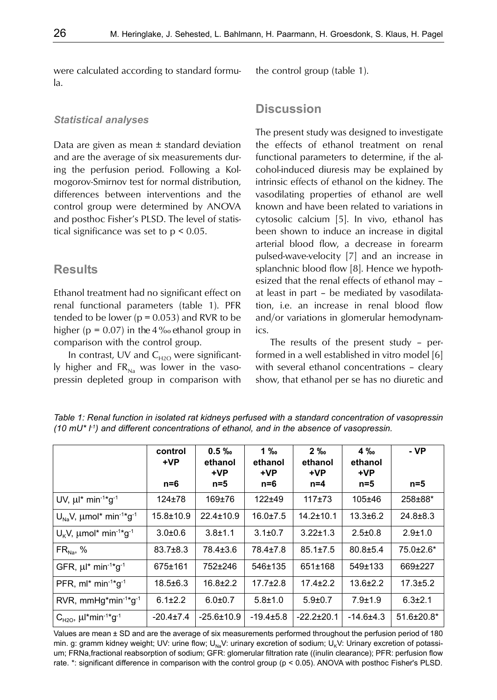were calculated according to standard formula.

#### *Statistical analyses*

Data are given as mean  $\pm$  standard deviation and are the average of six measurements during the perfusion period. Following a Kolmogorov-Smirnov test for normal distribution, differences between interventions and the control group were determined by ANOVA and posthoc Fisher's PLSD. The level of statistical significance was set to p < 0.05.

# **Results**

Ethanol treatment had no significant effect on renal functional parameters (table 1). PFR tended to be lower ( $p = 0.053$ ) and RVR to be higher ( $p = 0.07$ ) in the 4 ‰ ethanol group in comparison with the control group.

In contrast, UV and  $C_{H2O}$  were significantly higher and  $FR_{\text{Na}}$  was lower in the vasopressin depleted group in comparison with the control group (table 1).

# **Discussion**

The present study was designed to investigate the effects of ethanol treatment on renal functional parameters to determine, if the alcohol-induced diuresis may be explained by intrinsic effects of ethanol on the kidney. The vasodilating properties of ethanol are well known and have been related to variations in cytosolic calcium [5]. In vivo, ethanol has been shown to induce an increase in digital arterial blood flow, a decrease in forearm pulsed-wave-velocity [7] and an increase in splanchnic blood flow [8]. Hence we hypothesized that the renal effects of ethanol may – at least in part – be mediated by vasodilatation, i.e. an increase in renal blood flow and/or variations in glomerular hemodynamics.

The results of the present study – performed in a well established in vitro model [6] with several ethanol concentrations – cleary show, that ethanol per se has no diuretic and

**control +VP n=6 0.5 ‰ ethanol +VP n=5 1 ‰ ethanol +VP n=6 2 ‰ ethanol +VP n=4 4 ‰ ethanol +VP n=5 - VP n=5** UV,  $\mu$ <sup>\*</sup> min<sup>-1\*</sup>g<sup>-1</sup> | 124±78 | 169±76 | 122±49 | 117±73 | 105±46 | 258±88\*  $U_{N_1}$ V,  $\mu$ mol\* min<sup>-1\*</sup>g<sup>-1</sup> | 15.8±10.9 | 22.4±10.9 | 16.0±7.5 | 14.2±10.1 | 13.3±6.2 | 24.8±8.3  $U_k$ V,  $\mu$ mol\* min<sup>-1\*</sup>g<sup>-1</sup> 3.0±0.6 3.8±1.1 3.1±0.7 3.22±1.3 2.5±0.8 2.9±1.0  $\mathsf{FR}_\mathsf{Na},\ \% \hspace{1.5cm} | \hspace{.25cm} 83.7\pm8.3 \hspace{.25cm} | \hspace{.25cm} 78.4\pm3.6 \hspace{.25cm} | \hspace{.25cm} 78.4\pm7.8 \hspace{.25cm} | \hspace{.25cm} 85.1\pm7.5 \hspace{.25cm} | \hspace{.25cm} 80.8\pm5.4 \hspace{.25cm} | \hspace{.25cm} 75.0\pm2.6^* \hspace{.25cm} | \hspace{.25cm} 75.0\pm2.6$ GFR, μ<sup>\*</sup> min<sup>-1\*</sup>g<sup>-1</sup> | 675±161 | 752±246 | 546±135 | 651±168 | 549±133 | 669±227 PFR, ml\* min<sup>-1\*</sup>g<sup>-1</sup> | 18.5±6.3 | 16.8±2.2 | 17.7±2.8 | 17.4±2.2 | 13.6±2.2 | 17.3±5.2 RVR, mmHg\*min<sup>-1\*</sup>g<sup>-1</sup> 6.1±2.2 6.0±0.7 5.8±1.0 5.9±0.7 7.9±1.9 6.3±2.1  $C_{H2O}$ ,  $\mu$ <sup>\*</sup>min<sup>-1\*</sup>g<sup>-1</sup>  $-20.4\pm7.4$   $-25.6\pm10.9$   $-19.4\pm5.8$   $-22.2\pm20.1$   $-14.6\pm4.3$   $-51.6\pm20.8$ <sup>\*</sup>

*Table 1: Renal function in isolated rat kidneys perfused with a standard concentration of vasopressin (10 mU\* l-1) and different concentrations of ethanol, and in the absence of vasopressin.*

Values are mean ± SD and are the average of six measurements performed throughout the perfusion period of 180 min. g: gramm kidney weight; UV: urine flow; U<sub>Na</sub>V: urinary excretion of sodium; U<sub>K</sub>V: Urinary excretion of potassium; FRNa,fractional reabsorption of sodium; GFR: glomerular filtration rate ((inulin clearance); PFR: perfusion flow rate. \*: significant difference in comparison with the control group (p < 0.05). ANOVA with posthoc Fisher's PLSD.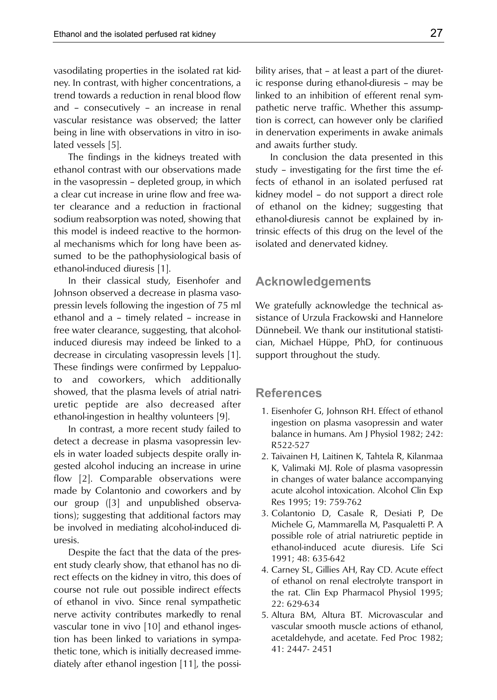vasodilating properties in the isolated rat kidney. In contrast, with higher concentrations, a trend towards a reduction in renal blood flow and – consecutively – an increase in renal vascular resistance was observed; the latter being in line with observations in vitro in isolated vessels [5].

The findings in the kidneys treated with ethanol contrast with our observations made in the vasopressin – depleted group, in which a clear cut increase in urine flow and free water clearance and a reduction in fractional sodium reabsorption was noted, showing that this model is indeed reactive to the hormonal mechanisms which for long have been assumed to be the pathophysiological basis of ethanol-induced diuresis [1].

In their classical study, Eisenhofer and Johnson observed a decrease in plasma vasopressin levels following the ingestion of 75 ml ethanol and a – timely related – increase in free water clearance, suggesting, that alcoholinduced diuresis may indeed be linked to a decrease in circulating vasopressin levels [1]. These findings were confirmed by Leppaluoto and coworkers, which additionally showed, that the plasma levels of atrial natriuretic peptide are also decreased after ethanol-ingestion in healthy volunteers [9].

In contrast, a more recent study failed to detect a decrease in plasma vasopressin levels in water loaded subjects despite orally ingested alcohol inducing an increase in urine flow [2]. Comparable observations were made by Colantonio and coworkers and by our group ([3] and unpublished observations); suggesting that additional factors may be involved in mediating alcohol-induced diuresis.

Despite the fact that the data of the present study clearly show, that ethanol has no direct effects on the kidney in vitro, this does of course not rule out possible indirect effects of ethanol in vivo. Since renal sympathetic nerve activity contributes markedly to renal vascular tone in vivo [10] and ethanol ingestion has been linked to variations in sympathetic tone, which is initially decreased immediately after ethanol ingestion [11], the possibility arises, that – at least a part of the diuretic response during ethanol-diuresis – may be linked to an inhibition of efferent renal sympathetic nerve traffic. Whether this assumption is correct, can however only be clarified in denervation experiments in awake animals and awaits further study.

In conclusion the data presented in this study – investigating for the first time the effects of ethanol in an isolated perfused rat kidney model – do not support a direct role of ethanol on the kidney; suggesting that ethanol-diuresis cannot be explained by intrinsic effects of this drug on the level of the isolated and denervated kidney.

## **Acknowledgements**

We gratefully acknowledge the technical assistance of Urzula Frackowski and Hannelore Dünnebeil. We thank our institutional statistician, Michael Hüppe, PhD, for continuous support throughout the study.

### **References**

- 1. Eisenhofer G, Johnson RH. Effect of ethanol ingestion on plasma vasopressin and water balance in humans. Am J Physiol 1982; 242: R522-527
- 2. Taivainen H, Laitinen K, Tahtela R, Kilanmaa K, Valimaki MJ. Role of plasma vasopressin in changes of water balance accompanying acute alcohol intoxication. Alcohol Clin Exp Res 1995; 19: 759-762
- 3. Colantonio D, Casale R, Desiati P, De Michele G, Mammarella M, Pasqualetti P. A possible role of atrial natriuretic peptide in ethanol-induced acute diuresis. Life Sci 1991; 48: 635-642
- 4. Carney SL, Gillies AH, Ray CD. Acute effect of ethanol on renal electrolyte transport in the rat. Clin Exp Pharmacol Physiol 1995; 22: 629-634
- 5. Altura BM, Altura BT. Microvascular and vascular smooth muscle actions of ethanol, acetaldehyde, and acetate. Fed Proc 1982; 41: 2447- 2451